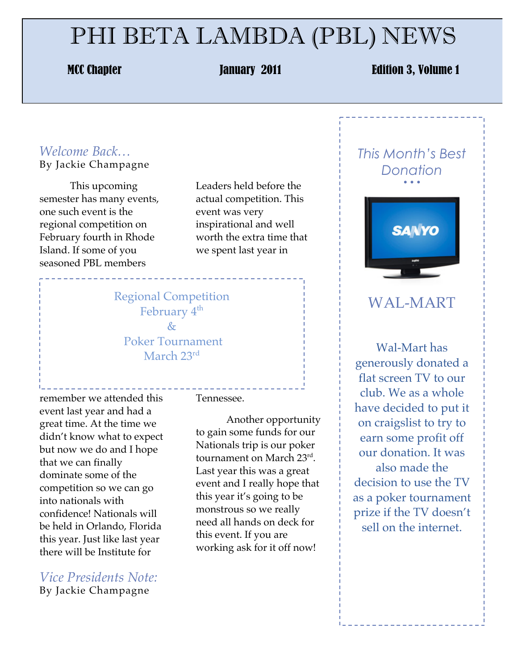# PHI BETA LAMBDA (PBL) NEWS

#### MCC Chapter **MCC Chapter Contract Contract Contract Contract Contract Contract Contract Contract Contract Contract Contract Contract Contract Contract Contract Contract Contract Contract Contract Contract Contract Contract**

#### *Welcome Back…* By Jackie Champagne

This upcoming semester has many events, one such event is the regional competition on February fourth in Rhode Island. If some of you seasoned PBL members

Leaders held before the actual competition. This event was very inspirational and well worth the extra time that we spent last year in

#### Regional Competition February 4<sup>th</sup> & Poker Tournament March 23rd

remember we attended this event last year and had a great time. At the time we didn't know what to expect but now we do and I hope that we can finally dominate some of the competition so we can go into nationals with confidence! Nationals will be held in Orlando, Florida this year. Just like last year there will be Institute for

*Vice Presidents Note:* By Jackie Champagne

Tennessee.

Another opportunity to gain some funds for our Nationals trip is our poker tournament on March 23rd. Last year this was a great event and I really hope that this year it's going to be monstrous so we really need all hands on deck for this event. If you are working ask for it off now!

#### *This Month's Best Donation* • • •



### WAL-MART

Wal-Mart has generously donated a flat screen TV to our club. We as a whole have decided to put it on craigslist to try to earn some profit off our donation. It was also made the decision to use the TV as a poker tournament prize if the TV doesn't sell on the internet.

\_\_\_\_\_\_\_\_\_\_\_\_\_\_\_\_\_\_